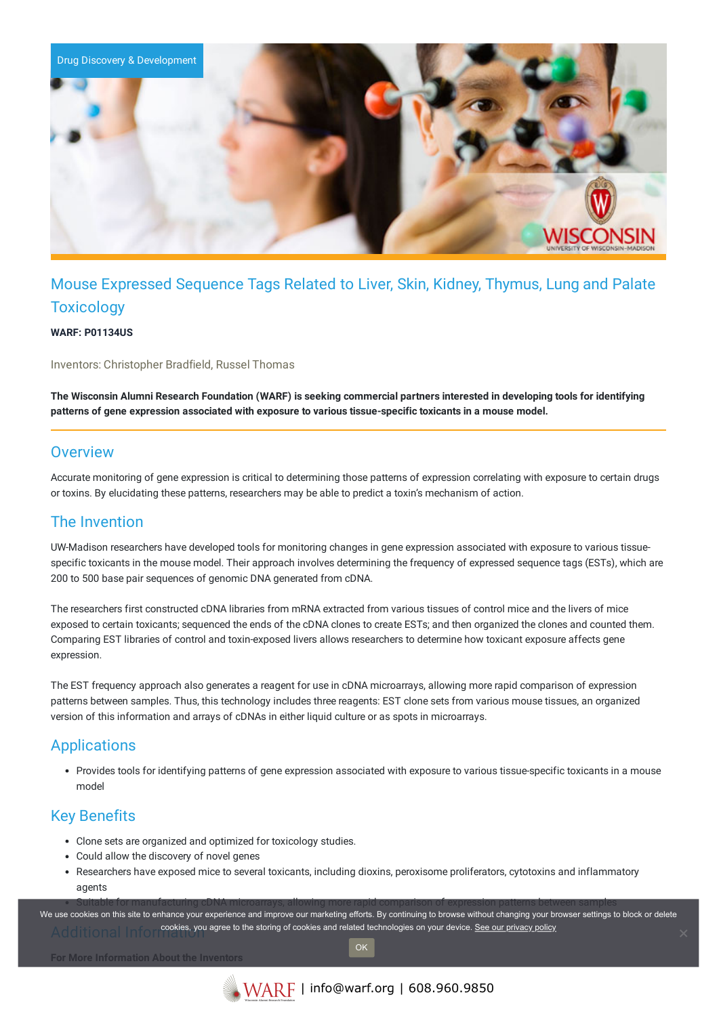

# Mouse Expressed Sequence Tags Related to Liver, Skin, Kidney, Thymus, Lung and Palate **Toxicology**

**WARF: P01134US**

Inventors: Christopher Bradfield, Russel Thomas

The Wisconsin Alumni Research Foundation (WARF) is seeking commercial partners interested in developing tools for identifying **patterns of gene expression associated with exposure to various tissue-specific toxicants in a mouse model.**

#### **Overview**

Accurate monitoring of gene expression is critical to determining those patterns of expression correlating with exposure to certain drugs or toxins. By elucidating these patterns, researchers may be able to predict a toxin's mechanism of action.

### The Invention

UW-Madison researchers have developed tools for monitoring changes in gene expression associated with exposure to various tissuespecific toxicants in the mouse model. Their approach involves determining the frequency of expressed sequence tags (ESTs), which are 200 to 500 base pair sequences of genomic DNA generated from cDNA.

The researchers first constructed cDNA libraries from mRNA extracted from various tissues of control mice and the livers of mice exposed to certain toxicants; sequenced the ends of the cDNA clones to create ESTs; and then organized the clones and counted them. Comparing EST libraries of control and toxin-exposed livers allows researchers to determine how toxicant exposure affects gene expression.

The EST frequency approach also generates a reagent for use in cDNA microarrays, allowing more rapid comparison of expression patterns between samples. Thus, this technology includes three reagents: EST clone sets from various mouse tissues, an organized version of this information and arrays of cDNAs in either liquid culture or as spots in microarrays.

## Applications

Provides tools for identifying patterns of gene expression associated with exposure to various tissue-specific toxicants in a mouse model

## Key Benefits

- Clone sets are organized and optimized for toxicology studies.
- Could allow the discovery of novel genes
- Researchers have exposed mice to several toxicants, including dioxins, peroxisome proliferators, cytotoxins and inflammatory agents

Suitable for manufacturing cDNA microarrays, allowing more rapid comparison of expression patterns between samples Additional Informations, you agree to the storing of cookies and related technologies on your device. [See our privacy policy](https://www.warf.org/privacy-policy/) We use cookies on this site to enhance your experience and improve our marketing efforts. By continuing to browse without changing your browser settings to block or delete

OK

**For More Information About the Inventors**